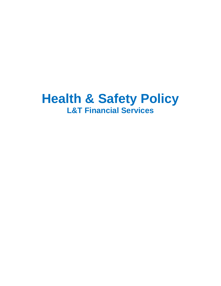# **Health & Safety Policy L&T Financial Services**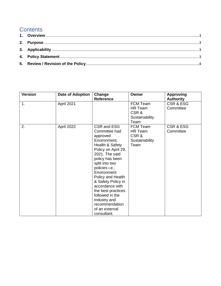## **Contents**

| <b>Version</b> | Date of Adoption | Change<br><b>Reference</b>                                                                                                                                                                                                                                                                                                                                           | Owner                                                        | <b>Approving</b><br><b>Authority</b> |
|----------------|------------------|----------------------------------------------------------------------------------------------------------------------------------------------------------------------------------------------------------------------------------------------------------------------------------------------------------------------------------------------------------------------|--------------------------------------------------------------|--------------------------------------|
| 1.             | April 2021       |                                                                                                                                                                                                                                                                                                                                                                      | FCM Team<br>HR Team<br>CSR&<br>Sustainability<br>Team        | <b>CSR &amp; ESG</b><br>Committee    |
| 2.             | April 2022       | CSR and ESG<br>Committee had<br>approved<br>Environment,<br>Health & Safety<br>Policy on April 29,<br>2021. The said<br>policy has been<br>split into two<br>policies i.e.;<br>Environment<br>Policy and Health<br>& Safety Policy in<br>accordance with<br>the best practices<br>followed in the<br>industry and<br>recommendation<br>of an external<br>consultant. | FCM Team<br><b>HR Team</b><br>CSR&<br>Sustainability<br>Team | CSR & ESG<br>Committee               |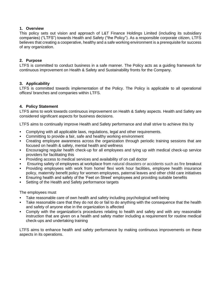#### <span id="page-2-0"></span>**1. Overview**

This policy sets out vision and approach of L&T Finance Holdings Limited (including its subsidiary companies) ("LTFS") towards Health and Safety ("the Policy"). As a responsible corporate citizen, LTFS believes that creating a cooperative, healthy and a safe working environment is a prerequisite for success of any organization.

#### <span id="page-2-1"></span>**2. Purpose**

LTFS is committed to conduct business in a safe manner. The Policy acts as a guiding framework for continuous improvement on Health & Safety and Sustainability fronts for the Company.

#### <span id="page-2-2"></span>**3. Applicability**

LTFS is committed towards implementation of the Policy. The Policy is applicable to all operational offices/ branches and companies within LTFS.

#### <span id="page-2-3"></span>**4. Policy Statement**

LTFS aims to work towards continuous improvement on Health & Safety aspects. Health and Safety are considered significant aspects for business decisions.

LTFS aims to continually improve Health and Safety performance and shall strive to achieve this by

- Complying with all applicable laws, regulations, legal and other requirements.
- Committing to provide a fair, safe and healthy working environment
- Creating employee awareness across the organization through periodic training sessions that are focused on health & safety, mental health and wellness
- Encouraging regular health check-up for all employees and tying up with medical check-up service providers for facilitating this
- Providing access to medical services and availability of on call doctor
- Ensuring safety of employees at workplace from natural disasters or accidents such as fire breakout
- Providing employees with work from home/ flexi work hour facilities, employee health insurance policy, maternity benefit policy for women employees, paternal leaves and other child care initiatives
- Ensuring health and safety of the 'Feet on Street' employees and providing suitable benefits
- Setting of the Health and Safety performance targets

#### The employees must

- **Take reasonable care of own health and safety including psychological well-being**
- **•** Take reasonable care that they do not do or fail to do anything with the consequence that the health and safety of anyone else in the organization is affected
- Comply with the organization's procedures relating to health and safety and with any reasonable instruction that are given on a health and safety matter including a requirement for routine medical check-ups and undertaking training

LTFS aims to enhance health and safety performance by making continuous improvements on these aspects in its operations.